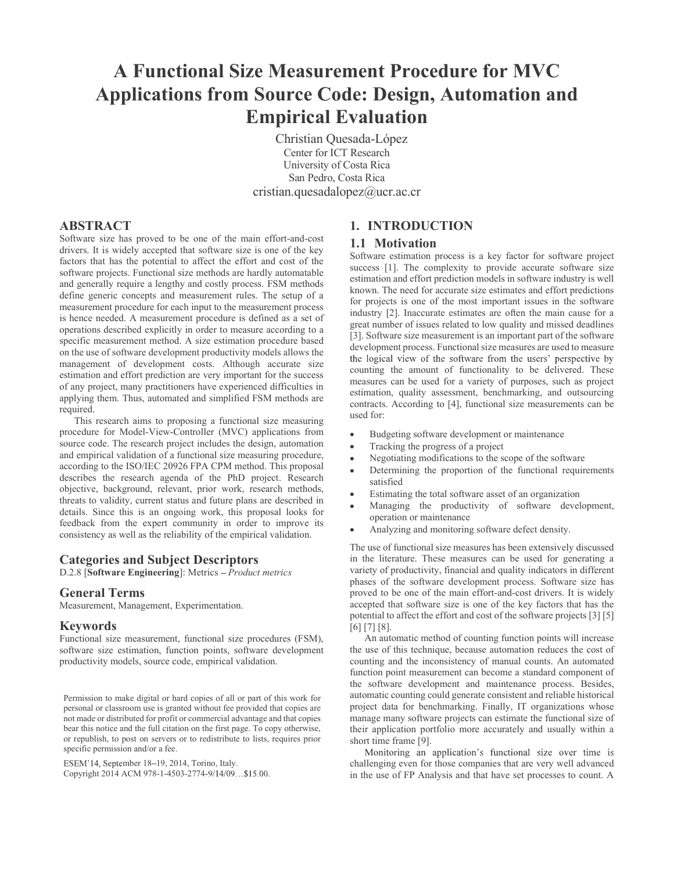## A Functional Size Measurement Procedure for MVC Applications from Source Code: Design, Automation and Empirical Evaluation

 Christian Quesada-López Center for ICT Research University of Costa Rica San Pedro, Costa Rica cristian.quesadalopez@ucr.ac.cr

### ABSTRACT

Software size has proved to be one of the main effort-and-cost drivers. It is widely accepted that software size is one of the key factors that has the potential to affect the effort and cost of the software projects. Functional size methods are hardly automatable and generally require a lengthy and costly process. FSM methods define generic concepts and measurement rules. The setup of a measurement procedure for each input to the measurement process is hence needed. A measurement procedure is defined as a set of operations described explicitly in order to measure according to a specific measurement method. A size estimation procedure based on the use of software development productivity models allows the<br>measurement process. Functional size measures are used to measure<br>the logical view of the software from the users' perspective by management of development costs. Although accurate size estimation and effort prediction are very important for the success of any project, many practitioners have experienced difficulties in applying them. Thus, automated and simplified FSM methods are required.

This research aims to proposing a functional size measuring procedure for Model-View-Controller (MVC) applications from source code. The research project includes the design, automation and empirical validation of a functional size measuring procedure, according to the ISO/IEC 20926 FPA CPM method. This proposal describes the research agenda of the PhD project. Research objective, background, relevant, prior work, research methods, threats to validity, current status and future plans are described in details. Since this is an ongoing work, this proposal looks for feedback from the expert community in order to improve its consistency as well as the reliability of the empirical validation.

### Categories and Subject Descriptors

D.2.8 [Software Engineering]: Metrics - Product metrics

### General Terms

Measurement, Management, Experimentation.

### Keywords

Functional size measurement, functional size procedures (FSM), software size estimation, function points, software development productivity models, source code, empirical validation.

Permission to make digital or hard copies of all or part of this work for personal or classroom use is granted without fee provided that copies are not made or distributed for profit or commercial advantage and that copies bear this notice and the full citation on the first page. To copy otherwise, or republish, to post on servers or to redistribute to lists, requires prior specific permission and/or a fee.

ESEM'14, September 18-19, 2014, Torino, Italy.

Copyright 2014 ACM 978-1-4503-2774-9/14/09...\$15.00.

### 1. INTRODUCTION

### 1.1 Motivation

Software estimation process is a key factor for software project success [1]. The complexity to provide accurate software size estimation and effort prediction models in software industry is well known. The need for accurate size estimates and effort predictions for projects is one of the most important issues in the software industry [2]. Inaccurate estimates are often the main cause for a great number of issues related to low quality and missed deadlines [3]. Software size measurement is an important part of the software development process. Functional size measures are used to measure counting the amount of functionality to be delivered. These measures can be used for a variety of purposes, such as project estimation, quality assessment, benchmarking, and outsourcing contracts. According to [4], functional size measurements can be used for:

- Budgeting software development or maintenance
- Tracking the progress of a project
- Negotiating modifications to the scope of the software
- Determining the proportion of the functional requirements satisfied
- Estimating the total software asset of an organization
- Managing the productivity of software development, operation or maintenance
- Analyzing and monitoring software defect density.

The use of functional size measures has been extensively discussed in the literature. These measures can be used for generating a variety of productivity, financial and quality indicators in different phases of the software development process. Software size has proved to be one of the main effort-and-cost drivers. It is widely accepted that software size is one of the key factors that has the potential to affect the effort and cost of the software projects [3] [5] [6] [7] [8].

An automatic method of counting function points will increase the use of this technique, because automation reduces the cost of counting and the inconsistency of manual counts. An automated function point measurement can become a standard component of the software development and maintenance process. Besides, automatic counting could generate consistent and reliable historical project data for benchmarking. Finally, IT organizations whose manage many software projects can estimate the functional size of their application portfolio more accurately and usually within a short time frame [9].

Monitoring an application's functional size over time is challenging even for those companies that are very well advanced in the use of FP Analysis and that have set processes to count. A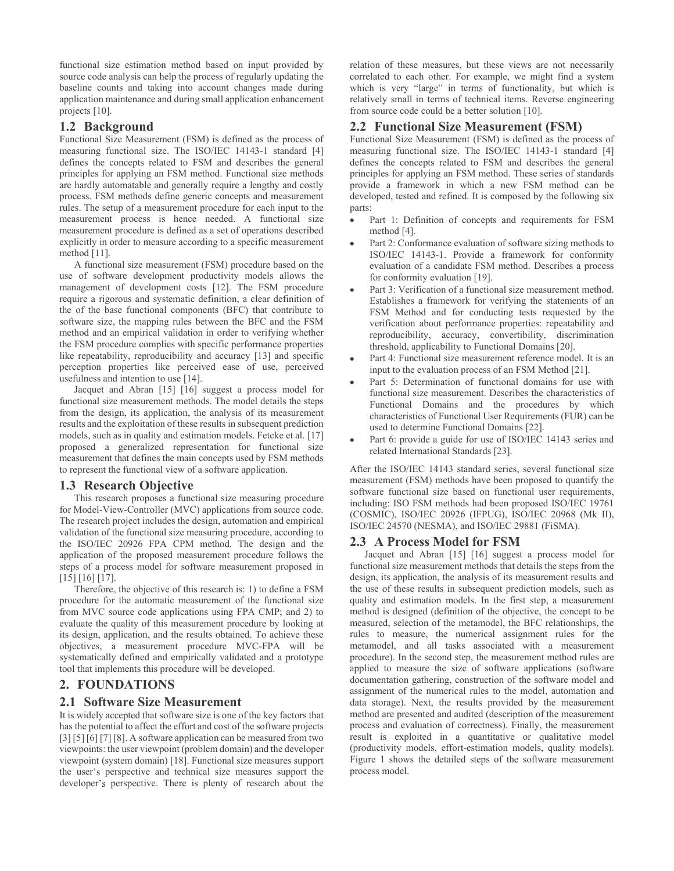functional size estimation method based on input provided by source code analysis can help the process of regularly updating the baseline counts and taking into account changes made during application maintenance and during small application enhancement projects [10].

functional size estimation method based on input provided by<br>source code analysis can help the process of regularly updating the<br>application of these measus<br>population maintenance and during small application enhancement<br>a Functional Size Measurement (FSM) is defined as the process of measuring functional size. The ISO/IEC 14143-1 standard [4] defines the concepts related to FSM and describes the general principles for applying an FSM method. Functional size methods are hardly automatable and generally require a lengthy and costly process. FSM methods define generic concepts and measurement rules. The setup of a measurement procedure for each input to the measurement process is hence needed. A functional size measurement procedure is defined as a set of operations described explicitly in order to measure according to a specific measurement method [11].

A functional size measurement (FSM) procedure based on the use of software development productivity models allows the management of development costs [12]. The FSM procedure require a rigorous and systematic definition, a clear definition of the of the base functional components (BFC) that contribute to software size, the mapping rules between the BFC and the FSM method and an empirical validation in order to verifying whether the FSM procedure complies with specific performance properties like repeatability, reproducibility and accuracy [13] and specific perception properties like perceived ease of use, perceived usefulness and intention to use [14]. The setup of a measurement procedure for each input to the<br>
measurement procedure for each input to the<br>
measurement procedure is defined a set of operations described<br>
measurement procedure is defined a set of operations

Jacquet and Abran [15] [16] suggest a process model for functional size measurement methods. The model details the steps from the design, its application, the analysis of its measurement results and the exploitation of these results in subsequent prediction models, such as in quality and estimation models. Fetcke et al. [17] proposed a generalized representation for functional size measurement that defines the main concepts used by FSM methods to represent the functional view of a software application.

This research proposes a functional size measuring procedure for Model-View-Controller (MVC) applications from source code. The research project includes the design, automation and empirical validation of the functional size measuring procedure, according to the ISO/IEC 20926 FPA CPM method. The design and the application of the proposed measurement procedure follows the steps of a process model for software measurement proposed in [15] [16] [17].

Therefore, the objective of this research is: 1) to define a FSM procedure for the automatic measurement of the functional size from MVC source code applications using FPA CMP; and 2) to evaluate the quality of this measurement procedure by looking at its design, application, and the results obtained. To achieve these objectives, a measurement procedure MVC-FPA will be systematically defined and empirically validated and a prototype tool that implements this procedure will be developed. Incritional size measurement methods. The model details the signs<br>
from the design, its application of these results in subsequent productions<br>
from the design, its application of the analysis of its measurement<br>
meansure results and the exploitation of these results in subsequent prediction<br>
modals, such as in quality and estimate into the proposed a generalized representation for functional size<br>
proposed a generalized representation for

It is widely accepted that software size is one of the key factors that has the potential to affect the effort and cost of the software projects  $[3] [5] [6] [7] [8]$ . A software application can be measured from two viewpoints: the user viewpoint (problem domain) and the developer viewpoint (system domain) [18]. Functional size measures support the user's perspective and technical size measures support the developer's perspective. There is plenty of research about the

relation of these measures, but these views are not necessarily correlated to each other. For example, we might find a system which is very "large" in terms of functionality, but which is relatively small in terms of technical items. Reverse engineering from source code could be a better solution [10].

### 2.2 Functional Size Measurement (FSM)

Functional Size Measurement (FSM) is defined as the process of measuring functional size. The ISO/IEC 14143-1 standard [4] defines the concepts related to FSM and describes the general principles for applying an FSM method. These series of standards provide a framework in which a new FSM method can be developed, tested and refined. It is composed by the following six parts:

- Part 1: Definition of concepts and requirements for FSM method [4].
- Part 2: Conformance evaluation of software sizing methods to ISO/IEC 14143-1. Provide a framework for conformity evaluation of a candidate FSM method. Describes a process for conformity evaluation [19].
- Part 3: Verification of a functional size measurement method. Establishes a framework for verifying the statements of an FSM Method and for conducting tests requested by the verification about performance properties: repeatability and reproducibility, accuracy, convertibility, discrimination threshold, applicability to Functional Domains [20].
- Part 4: Functional size measurement reference model. It is an input to the evaluation process of an FSM Method [21].
- Part 5: Determination of functional domains for use with functional size measurement. Describes the characteristics of Functional Domains and the procedures by which characteristics of Functional User Requirements (FUR) can be used to determine Functional Domains [22].
- Part 6: provide a guide for use of ISO/IEC 14143 series and related International Standards [23].

After the ISO/IEC 14143 standard series, several functional size measurement (FSM) methods have been proposed to quantify the software functional size based on functional user requirements, including: ISO FSM methods had been proposed ISO/IEC 19761 (COSMIC), ISO/IEC 20926 (IFPUG), ISO/IEC 20968 (Mk II), ISO/IEC 24570 (NESMA), and ISO/IEC 29881 (FiSMA).

### 2.3 A Process Model for FSM

Jacquet and Abran [15] [16] suggest a process model for functional size measurement methods that details the steps from the design, its application, the analysis of its measurement results and the use of these results in subsequent prediction models, such as quality and estimation models. In the first step, a measurement method is designed (definition of the objective, the concept to be measured, selection of the metamodel, the BFC relationships, the rules to measure, the numerical assignment rules for the metamodel, and all tasks associated with a measurement procedure). In the second step, the measurement method rules are applied to measure the size of software applications (software documentation gathering, construction of the software model and assignment of the numerical rules to the model, automation and data storage). Next, the results provided by the measurement method are presented and audited (description of the measurement process and evaluation of correctness). Finally, the measurement result is exploited in a quantitative or qualitative model (productivity models, effort-estimation models, quality models). Figure 1 shows the detailed steps of the software measurement process model.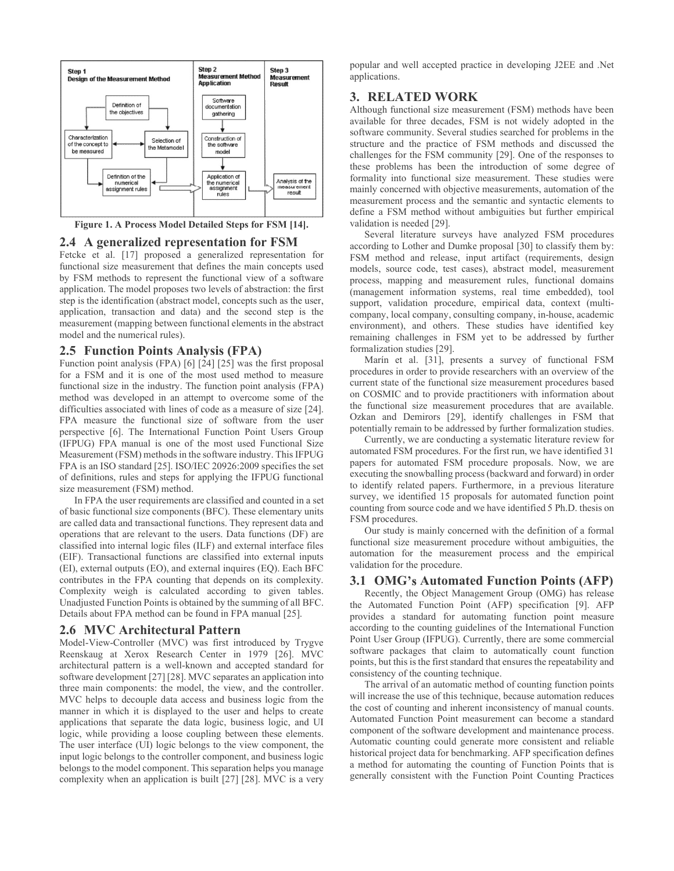

Figure 1. A Process Model Detailed Steps for FSM [14].

Fetcke et al. [17] proposed a generalized representation for functional size measurement that defines the main concepts used by FSM methods to represent the functional view of a software application. The model proposes two levels of abstraction: the first step is the identification (abstract model, concepts such as the user, application, transaction and data) and the second step is the measurement (mapping between functional elements in the abstract model and the numerical rules).

Function point analysis (FPA) [6] [24] [25] was the first proposal for a FSM and it is one of the most used method to measure functional size in the industry. The function point analysis (FPA) method was developed in an attempt to overcome some of the difficulties associated with lines of code as a measure of size [24]. FPA measure the functional size of software from the user perspective [6]. The International Function Point Users Group (IFPUG) FPA manual is one of the most used Functional Size Measurement (FSM) methods in the software industry. This IFPUG FPA is an ISO standard [25]. ISO/IEC 20926:2009 specifies the set of definitions, rules and steps for applying the IFPUG functional size measurement (FSM) method. **2.5 Function Points Analysis (FPA)**<br>
Francization studies [22] (25] was the first proposal<br>
Function point analysis (FPA) [6] [24] [25] was the first proposal<br>
for a FSM and it is one of the most used method to measure<br>

In FPA the user requirements are classified and counted in a set of basic functional size components (BFC). These elementary units are called data and transactional functions. They represent data and operations that are relevant to the users. Data functions (DF) are classified into internal logic files (ILF) and external interface files (EIF). Transactional functions are classified into external inputs (EI), external outputs (EO), and external inquires (EQ). Each BFC contributes in the FPA counting that depends on its complexity. Complexity weigh is calculated according to given tables. Unadjusted Function Points is obtained by the summing of all BFC. Details about FPA method can be found in FPA manual [25].

Model-View-Controller (MVC) was first introduced by Trygve Reenskaug at Xerox Research Center in 1979 [26]. MVC architectural pattern is a well-known and accepted standard for software development [27] [28]. MVC separates an application into three main components: the model, the view, and the controller. MVC helps to decouple data access and business logic from the manner in which it is displayed to the user and helps to create applications that separate the data logic, business logic, and UI logic, while providing a loose coupling between these elements. The user interface (UI) logic belongs to the view component, the input logic belongs to the controller component, and business logic belongs to the model component. This separation helps you manage complexity when an application is built [27] [28]. MVC is a very

popular and well accepted practice in developing J2EE and .Net applications.

### 3. RELATED WORK

Although functional size measurement (FSM) methods have been available for three decades, FSM is not widely adopted in the software community. Several studies searched for problems in the structure and the practice of FSM methods and discussed the challenges for the FSM community [29]. One of the responses to these problems has been the introduction of some degree of formality into functional size measurement. These studies were mainly concerned with objective measurements, automation of the measurement process and the semantic and syntactic elements to define a FSM method without ambiguities but further empirical validation is needed [29].

Several literature surveys have analyzed FSM procedures according to Lother and Dumke proposal [30] to classify them by: FSM method and release, input artifact (requirements, design models, source code, test cases), abstract model, measurement process, mapping and measurement rules, functional domains (management information systems, real time embedded), tool support, validation procedure, empirical data, context (multicompany, local company, consulting company, in-house, academic environment), and others. These studies have identified key remaining challenges in FSM yet to be addressed by further formalization studies [29].

Marín et al. [31], presents a survey of functional FSM procedures in order to provide researchers with an overview of the current state of the functional size measurement procedures based on COSMIC and to provide practitioners with information about the functional size measurement procedures that are available. Ozkan and Demirors [29], identify challenges in FSM that potentially remain to be addressed by further formalization studies.

Currently, we are conducting a systematic literature review for automated FSM procedures. For the first run, we have identified 31 papers for automated FSM procedure proposals. Now, we are executing the snowballing process (backward and forward) in order to identify related papers. Furthermore, in a previous literature survey, we identified 15 proposals for automated function point counting from source code and we have identified 5 Ph.D. thesis on FSM procedures.

Our study is mainly concerned with the definition of a formal functional size measurement procedure without ambiguities, the automation for the measurement process and the empirical validation for the procedure.

### 3.1 OMG's Automated Function Points (AFP)

Recently, the Object Management Group (OMG) has release the Automated Function Point (AFP) specification [9]. AFP provides a standard for automating function point measure according to the counting guidelines of the International Function Point User Group (IFPUG). Currently, there are some commercial software packages that claim to automatically count function points, but this is the first standard that ensures the repeatability and consistency of the counting technique.

The arrival of an automatic method of counting function points will increase the use of this technique, because automation reduces the cost of counting and inherent inconsistency of manual counts. Automated Function Point measurement can become a standard component of the software development and maintenance process. Automatic counting could generate more consistent and reliable historical project data for benchmarking. AFP specification defines a method for automating the counting of Function Points that is generally consistent with the Function Point Counting Practices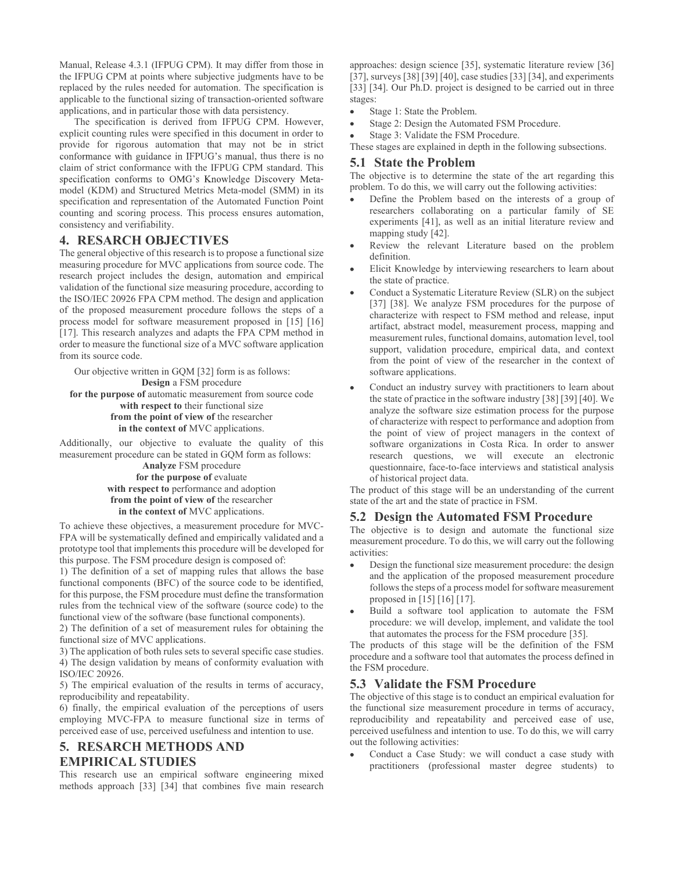Manual, Release 4.3.1 (IFPUG CPM). It may differ from those in the IFPUG CPM at points where subjective judgments have to be replaced by the rules needed for automation. The specification is applicable to the functional sizing of transaction-oriented software applications, and in particular those with data persistency.

The specification is derived from IFPUG CPM. However, explicit counting rules were specified in this document in order to provide for rigorous automation that may not be in strict conformance with guidance in IFPUG's manual, thus there is no claim of strict conformance with the IFPUG CPM standard. This specification conforms to OMG's Knowledge Discovery Metamodel (KDM) and Structured Metrics Meta-model (SMM) in its <sup>p</sup><br>creatification and representation of the Automated Euration Boint specification and representation of the Automated Function Point counting and scoring process. This process ensures automation, consistency and verifiability. Manual, Release 4.3.1 (IFPUG CPM). It may differ from those in<br>
tep-BIG CPM) and pioral cost and pioral cost and pioral cost and pioral cost and pioral cost and pioral cost and pioral cost and pioral cost and pioral cost

The general objective of this research is to propose a functional size measuring procedure for MVC applications from source code. The research project includes the design, automation and empirical validation of the functional size measuring procedure, according to the ISO/IEC 20926 FPA CPM method. The design and application of the proposed measurement procedure follows the steps of a process model for software measurement proposed in [15] [16] [17]. This research analyzes and adapts the FPA CPM method in order to measure the functional size of a MVC software application from its source code.

Our objective written in GQM [32] form is as follows: Design a FSM procedure for the purpose of automatic measurement from source code with respect to their functional size from the point of view of the researcher in the context of MVC applications.

Additionally, our objective to evaluate the quality of this measurement procedure can be stated in GQM form as follows:

Analyze FSM procedure for the purpose of evaluate with respect to performance and adoption from the point of view of the researcher in the context of MVC applications.

To achieve these objectives, a measurement procedure for MVC-FPA will be systematically defined and empirically validated and a prototype tool that implements this procedure will be developed for this purpose. The FSM procedure design is composed of:

1) The definition of a set of mapping rules that allows the base functional components (BFC) of the source code to be identified, for this purpose, the FSM procedure must define the transformation rules from the technical view of the software (source code) to the functional view of the software (base functional components). Analyz FSM procedure<br> **Sharped Solution** (not the purpose of evaluate and adoption<br>
or the purpose of evaluate<br>
in the context of MVC applications.<br>
To achieve the research interest of MVC applications.<br>
To achieve these

2) The definition of a set of measurement rules for obtaining the functional size of MVC applications.

3) The application of both rules sets to several specific case studies. 4) The design validation by means of conformity evaluation with ISO/IEC 20926.

5) The empirical evaluation of the results in terms of accuracy, reproducibility and repeatability.

6) finally, the empirical evaluation of the perceptions of users employing MVC-FPA to measure functional size in terms of perceived ease of use, perceived usefulness and intention to use.

# EMPIRICAL STUDIES

This research use an empirical software engineering mixed methods approach [33] [34] that combines five main research approaches: design science [35], systematic literature review [36] [37], surveys [38] [39] [40], case studies [33] [34], and experiments [33] [34]. Our Ph.D. project is designed to be carried out in three stages:

- Stage 1: State the Problem.
- Stage 2: Design the Automated FSM Procedure.
- Stage 3: Validate the FSM Procedure.

These stages are explained in depth in the following subsections.

### 5.1 State the Problem

The objective is to determine the state of the art regarding this problem. To do this, we will carry out the following activities:

- Define the Problem based on the interests of a group of researchers collaborating on a particular family of SE experiments [41], as well as an initial literature review and mapping study [42].
- Review the relevant Literature based on the problem definition.
- Elicit Knowledge by interviewing researchers to learn about the state of practice.
- Conduct a Systematic Literature Review (SLR) on the subject [37] [38]. We analyze FSM procedures for the purpose of characterize with respect to FSM method and release, input artifact, abstract model, measurement process, mapping and measurement rules, functional domains, automation level, tool support, validation procedure, empirical data, and context from the point of view of the researcher in the context of software applications.
- Conduct an industry survey with practitioners to learn about the state of practice in the software industry [38] [39] [40]. We analyze the software size estimation process for the purpose of characterize with respect to performance and adoption from the point of view of project managers in the context of software organizations in Costa Rica. In order to answer research questions, we will execute an electronic questionnaire, face-to-face interviews and statistical analysis of historical project data.

The product of this stage will be an understanding of the current state of the art and the state of practice in FSM.

### 5.2 Design the Automated FSM Procedure

The objective is to design and automate the functional size measurement procedure. To do this, we will carry out the following activities:

- Design the functional size measurement procedure: the design and the application of the proposed measurement procedure follows the steps of a process model for software measurement proposed in [15] [16] [17].
- Build a software tool application to automate the FSM procedure: we will develop, implement, and validate the tool that automates the process for the FSM procedure [35].

The products of this stage will be the definition of the FSM procedure and a software tool that automates the process defined in the FSM procedure.

### 5.3 Validate the FSM Procedure

The objective of this stage is to conduct an empirical evaluation for the functional size measurement procedure in terms of accuracy, reproducibility and repeatability and perceived ease of use, perceived usefulness and intention to use. To do this, we will carry out the following activities:

Conduct a Case Study: we will conduct a case study with practitioners (professional master degree students) to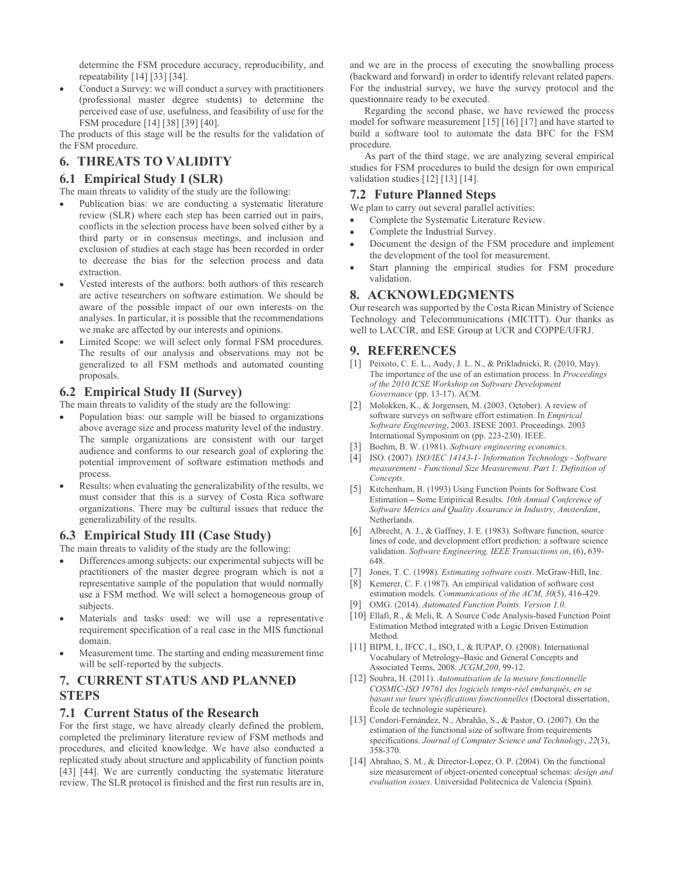determine the FSM procedure accuracy, reproducibility, and repeatability [14] [33] [34].

Conduct a Survey: we will conduct a survey with practitioners (professional master degree students) to determine the perceived ease of use, usefulness, and feasibility of use for the FSM procedure [14] [38] [39] [40]. determine the FSM procedure accuracy, reproducibility, and and we are in the propeatability [14] [33] [34].<br>
• Conduct a Survey: we will conduct a survey with practitioners<br>
• Conduct a Survey: we will conduct a survey wi

The products of this stage will be the results for the validation of the FSM procedure.

The main threats to validity of the study are the following:

- determine the FSM procedure accuracy, reproducibility, and and we are in the proceeduability [14] [33] [34].<br>
 Conduct a Survey: we will conduct a survey with practitioners<br>
(professional master degree students) to deter Publication bias: we are conducting a systematic literature review (SLR) where each step has been carried out in pairs, conflicts in the selection process have been solved either by a third party or in consensus meetings, and inclusion and exclusion of studies at each stage has been recorded in order to decrease the bias for the selection process and data extraction. preceived ease of use coincides, and feasibility of use for the<br>
FSM procedure [14] [38] [40],<br>
The products of this stage will be the results for the validation of<br>
the FSM procedure.<br> **6.1 Empirical Study I (SLR)**<br> **6.1**
- Vested interests of the authors: both authors of this research are active researchers on software estimation. We should be aware of the possible impact of our own interests on the analyses. In particular, it is possible that the recommendations we make are affected by our interests and opinions.
- Limited Scope: we will select only formal FSM procedures. The results of our analysis and observations may not be generalized to all FSM methods and automated counting proposals.

The main threats to validity of the study are the following:

- Population bias: our sample will be biased to organizations above average size and process maturity level of the industry. The sample organizations are consistent with our target<br>audience and conforms to our recentral goal of exploring the [3] Boehm, B. W. (1981). Software engineering economics. audience and conforms to our research goal of exploring the potential improvement of software estimation methods and process. Excelsion of solution and the development of the development of the development of the development of the search was supported the examplement of the search was supported the main first possible impact of our own interest The main threas to validity of the study are the following:<br>
The main threas to validity of the study are the following:<br>
Phe main threas to validity of the study are the following:<br>  $\bullet$  Population bias: our search signa
- process. Concepts.<br>Results: when evaluating the generalizability of the results, we [5] Kitchenha must consider that this is a survey of Costa Rica software organizations. There may be cultural issues that reduce the generalizability of the results.

The main threats to validity of the study are the following:

- Differences among subjects: our experimental subjects will be practitioners of the master degree program which is not a representative sample of the population that would normally use a FSM method. We will select a homogeneous group of subjects.
- Materials and tasks used: we will use a representative requirement specification of a real case in the MIS functional domain.
- Measurement time. The starting and ending measurement time will be self-reported by the subjects.

## **STEPS**

above average size and process maturity level of the matistry<br>
The sample organizations are consistent with our target<br>
and configure and ordinary and exploring the systems are consistent with our target<br>
potential improve For the first stage, we have already clearly defined the problem, completed the preliminary literature review of FSM methods and procedures, and elicited knowledge. We have also conducted a replicated study about structure and applicability of function points [43] [44]. We are currently conducting the systematic literature review. The SLR protocol is finished and the first run results are in,

and we are in the process of executing the snowballing process (backward and forward) in order to identify relevant related papers. For the industrial survey, we have the survey protocol and the questionnaire ready to be executed.

Regarding the second phase, we have reviewed the process model for software measurement [15] [16] [17] and have started to build a software tool to automate the data BFC for the FSM procedure.

As part of the third stage, we are analyzing several empirical studies for FSM procedures to build the design for own empirical validation studies [12] [13] [14].

### 7.2 Future Planned Steps

We plan to carry out several parallel activities:

- Complete the Systematic Literature Review.
- Complete the Industrial Survey.
- Document the design of the FSM procedure and implement the development of the tool for measurement.
- Start planning the empirical studies for FSM procedure validation.

### 8. ACKNOWLEDGMENTS

Our research was supported by the Costa Rican Ministry of Science Technology and Telecommunications (MICITT). Our thanks as well to LACCIR, and ESE Group at UCR and COPPE/UFRJ.

### 9. REFERENCES

- [1] Peixoto, C. E. L., Audy, J. L. N., & Prikladnicki, R. (2010, May). The importance of the use of an estimation process. In Proceedings of the 2010 ICSE Workshop on Software Development Governance (pp. 13-17). ACM.
- [2] Molokken, K., & Jorgensen, M. (2003, October). A review of software surveys on software effort estimation. In Empirical Software Engineering, 2003. ISESE 2003. Proceedings. 2003 International Symposium on (pp. 223-230). IEEE.
- 
- [4] ISO. (2007). ISO/IEC 14143-1- Information Technology Software measurement - Functional Size Measurement. Part 1: Definition of
- Kitchenham, B. (1993) Using Function Points for Software Cost Estimation - Some Empirical Results. 10th Annual Conference of Software Metrics and Quality Assurance in Industry, Amsterdam, Netherlands.
- [6] Albrecht, A. J., & Gaffney, J. E. (1983). Software function, source lines of code, and development effort prediction: a software science validation. Software Engineering, IEEE Transactions on, (6), 639- 648.
- [7] Jones, T. C. (1998). *Estimating software costs*. McGraw-Hill, Inc.
- [8] Kemerer, C. F. (1987). An empirical validation of software cost estimation models. Communications of the ACM, 30(5), 416-429.
- OMG. (2014). Automated Function Points. Version 1.0.
- [10] Ellafi, R., & Meli, R. A Source Code Analysis-based Function Point Estimation Method integrated with a Logic Driven Estimation Method.
- [11] BIPM, I., IFCC, I., ISO, I., & IUPAP, O. (2008). International Vocabulary of Metrology-Basic and General Concepts and Associated Terms, 2008. JCGM,200, 99-12.
- [12] Soubra, H. (2011). Automatisation de la mesure fonctionnelle COSMIC-ISO 19761 des logiciels temps-réel embarqués, en se basant sur leurs spécifications fonctionnelles (Doctoral dissertation, École de technologie supérieure).
- [13] Condori-Fernández, N., Abrahão, S., & Pastor, O. (2007). On the estimation of the functional size of software from requirements specifications. Journal of Computer Science and Technology, 22(3), 358-370.
- [14] Abrahao, S. M., & Director-Lopez, O. P. (2004). On the functional size measurement of object-oriented conceptual schemas: design and evaluation issues. Universidad Politecnica de Valencia (Spain).